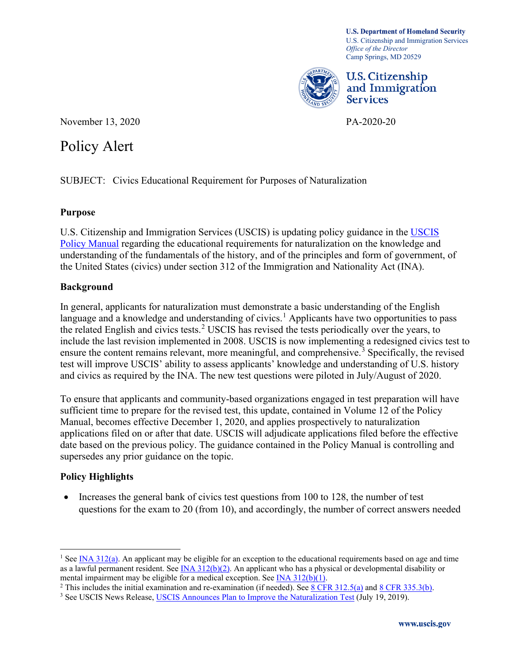**U.S. Department of Homeland Security**  U.S. Citizenship and Immigration Services *Office of the Director*  Camp Springs, MD 20529



U.S. Citizenship and Immigration Services

November 13, 2020 PA-2020-20

# Policy Alert

SUBJECT: Civics Educational Requirement for Purposes of Naturalization

#### **Purpose**

U.S. Citizenship and Immigration Services (USCIS) is updating policy guidance in the [USCIS](https://www.uscis.gov/policy-manual)  [Policy Manual](https://www.uscis.gov/policy-manual) regarding the educational requirements for naturalization on the knowledge and understanding of the fundamentals of the history, and of the principles and form of government, of the United States (civics) under section 312 of the Immigration and Nationality Act (INA).

## **Background**

In general, applicants for naturalization must demonstrate a basic understanding of the English language and a knowledge and understanding of civics.<sup>[1](#page-0-0)</sup> Applicants have two opportunities to pass the related English and civics tests.<sup>[2](#page-0-1)</sup> USCIS has revised the tests periodically over the years, to include the last revision implemented in 2008. USCIS is now implementing a redesigned civics test to ensure the content remains relevant, more meaningful, and comprehensive.<sup>3</sup> Specifically, the revised test will improve USCIS' ability to assess applicants' knowledge and understanding of U.S. history and civics as required by the INA. The new test questions were piloted in July/August of 2020.

To ensure that applicants and community-based organizations engaged in test preparation will have sufficient time to prepare for the revised test, this update, contained in Volume 12 of the Policy Manual, becomes effective December 1, 2020, and applies prospectively to naturalization applications filed on or after that date. USCIS will adjudicate applications filed before the effective date based on the previous policy. The guidance contained in the Policy Manual is controlling and supersedes any prior guidance on the topic.

## **Policy Highlights**

• Increases the general bank of civics test questions from 100 to 128, the number of test questions for the exam to 20 (from 10), and accordingly, the number of correct answers needed

<span id="page-0-0"></span>as a lawful permanent resident. See [INA 312\(b\)\(2\).](https://uscode.house.gov/view.xhtml?req=granuleid:USC-prelim-title8-section1423&num=0&edition=prelim) An applicant who has a physical or developmental disability or <sup>1</sup> See INA  $312(a)$ . An applicant may be eligible for an exception to the educational requirements based on age and time

<span id="page-0-1"></span>mentalimp[a](https://www.uscis.gov/laws/8cfr)irment may be eligible for a medical exception. See <u>INA 312(b)(1)</u>.<br><sup>2</sup> This includes the initial examination and re-examination (if needed). See <u>8 CFR 312.5(a)</u> and <u>8 CFR 335.3(b)</u>.<br><sup>3</sup> See USCIS News Relea

<span id="page-0-2"></span>